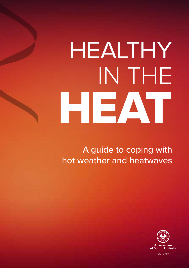# HEALTHY IN THE HEAT

A guide to coping with hot weather and heatwaves



SA Health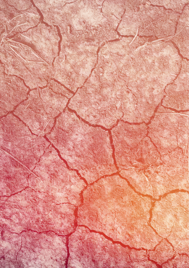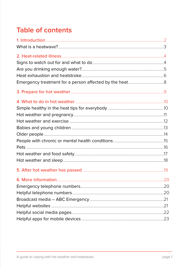# **Table of contents**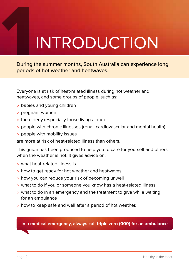# INTRODUCTION

**1999**<br>During<br>periods During the summer months, South Australia can experience long periods of hot weather and heatwaves.

Everyone is at risk of heat-related illness during hot weather and heatwaves, and some groups of people, such as:

- > babies and young children
- > pregnant women
- > the elderly (especially those living alone)
- > people with chronic illnesses (renal, cardiovascular and mental health)
- > people with mobility issues

are more at risk of heat-related illness than others.

This guide has been produced to help you to care for yourself and others when the weather is hot. It gives advice on:

- > what heat-related illness is
- > how to get ready for hot weather and heatwaves
- > how you can reduce your risk of becoming unwell
- > what to do if you or someone you know has a heat-related illness
- > what to do in an emergency and the treatment to give while waiting for an ambulance
- > how to keep safe and well after a period of hot weather.

**In a medical emergency, always call triple zero (000) for an ambulance**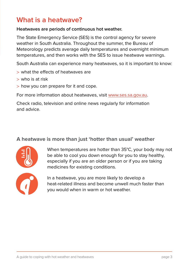### **What is a heatwave?**

#### **Heatwaves are periods of continuous hot weather.**

The State Emergency Service (SES) is the control agency for severe weather in South Australia. Throughout the summer, the Bureau of Meteorology predicts average daily temperatures and overnight minimum temperatures, and then works with the SES to issue heatwave warnings.

South Australia can experience many heatwaves, so it is important to know:

- > what the effects of heatwaves are
- > who is at risk
- > how you can prepare for it and cope.

For more information about heatwaves, visit [www.ses.sa.gov.au.](http://www.ses.sa.gov.au)

Check radio, television and online news regularly for information and advice.

#### **A heatwave is more than just 'hotter than usual' weather**



When temperatures are hotter than 35°C, your body may not be able to cool you down enough for you to stay healthy, especially if you are an older person or if you are taking medicines for existing conditions.



In a heatwave, you are more likely to develop a heat-related illness and become unwell much faster than you would when in warm or hot weather.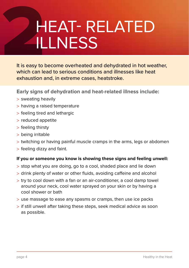# It is easy to HEAT- RELATED ILLNESS

It is easy to become overheated and dehydrated in hot weather, which can lead to serious conditions and illnesses like heat exhaustion and, in extreme cases, heatstroke.

**Early signs of dehydration and heat-related illness include:** 

- > sweating heavily
- > having a raised temperature
- > feeling tired and lethargic
- > reduced appetite
- > feeling thirsty
- > being irritable
- > twitching or having painful muscle cramps in the arms, legs or abdomen
- > feeling dizzy and faint.

#### **If you or someone you know is showing these signs and feeling unwell:**

- > stop what you are doing, go to a cool, shaded place and lie down
- > drink plenty of water or other fluids, avoiding caffeine and alcohol
- > try to cool down with a fan or an air-conditioner, a cool damp towel around your neck, cool water sprayed on your skin or by having a cool shower or bath
- > use massage to ease any spasms or cramps, then use ice packs
- > if still unwell after taking these steps, seek medical advice as soon as possible.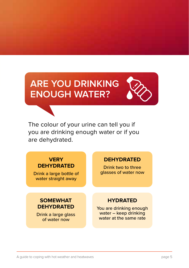# **ARE YOU DRINKING ENOUGH WATER?**

The colour of your urine can tell you if you are drinking enough water or if you are dehydrated.

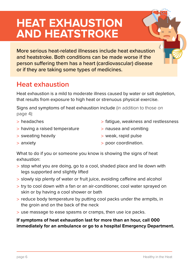# **HEAT EXHAUSTION AND HEATSTROKE**

More serious heat-related illnesses include heat exhaustion and heatstroke. Both conditions can be made worse if the person suffering them has a heart (cardiovascular) disease or if they are taking some types of medicines.

### **Heat exhaustion**

Heat exhaustion is a mild to moderate illness caused by water or salt depletion, that results from exposure to high heat or strenuous physical exercise.

Signs and symptoms of heat exhaustion include (in addition to those on page 4):

- > headaches
- > having a raised temperature
- > fatigue, weakness and restlessness
- > nausea and vomiting

> sweating heavily

> weak, rapid pulse

> anxiety

> poor coordination.

What to do if you or someone you know is showing the signs of heat exhaustion:

- > stop what you are doing, go to a cool, shaded place and lie down with legs supported and slightly lifted
- > slowly sip plenty of water or fruit juice, avoiding caffeine and alcohol
- > try to cool down with a fan or an air-conditioner, cool water sprayed on skin or by having a cool shower or bath
- > reduce body temperature by putting cool packs under the armpits, in the groin and on the back of the neck
- > use massage to ease spasms or cramps, then use ice packs.

**If symptoms of heat exhaustion last for more than an hour, call 000 immediately for an ambulance or go to a hospital Emergency Department.**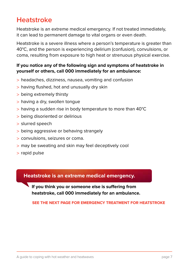### **Heatstroke**

Heatstroke is an extreme medical emergency. If not treated immediately, it can lead to permanent damage to vital organs or even death.

Heatstroke is a severe illness where a person's temperature is greater than 40°C, and the person is experiencing delirium (confusion), convulsions, or coma, resulting from exposure to high heat or strenuous physical exercise.

#### **If you notice any of the following sign and symptoms of heatstroke in yourself or others, call 000 immediately for an ambulance:**

- > headaches, dizziness, nausea, vomiting and confusion
- > having flushed, hot and unusually dry skin
- > being extremely thirsty
- > having a dry, swollen tongue
- > having a sudden rise in body temperature to more than 40°C
- > being disoriented or delirious
- > slurred speech
- > being aggressive or behaving strangely
- > convulsions, seizures or coma.
- > may be sweating and skin may feel deceptively cool
- > rapid pulse

### **Heatstroke is an extreme medical emergency.**

 **If you think you or someone else is suffering from heatstroke, call 000 immediately for an ambulance.**

**SEE THE NEXT PAGE FOR EMERGENCY TREATMENT FOR HEATSTROKE**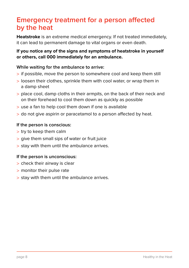### **Emergency treatment for a person affected by the heat**

**Heatstroke** is an extreme medical emergency. If not treated immediately, it can lead to permanent damage to vital organs or even death.

#### **If you notice any of the signs and symptoms of heatstroke in yourself or others, call 000 immediately for an ambulance.**

#### **While waiting for the ambulance to arrive:**

- > if possible, move the person to somewhere cool and keep them still
- > loosen their clothes, sprinkle them with cool water, or wrap them in a damp sheet
- > place cool, damp cloths in their armpits, on the back of their neck and on their forehead to cool them down as quickly as possible
- > use a fan to help cool them down if one is available
- > do not give aspirin or paracetamol to a person affected by heat.

#### **If the person is conscious:**

- > try to keep them calm
- > give them small sips of water or fruit juice
- > stay with them until the ambulance arrives.

#### **If the person is unconscious:**

- > check their airway is clear
- > monitor their pulse rate
- > stay with them until the ambulance arrives.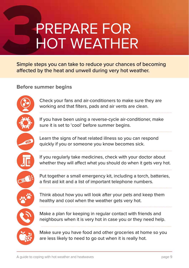# PREPARE FOR HOT WEATHER

Simple step<br>affected by Simple steps you can take to reduce your chances of becoming affected by the heat and unwell during very hot weather.

#### **Before summer begins**

Check your fans and air-conditioners to make sure they are working and that filters, pads and air vents are clean.

If you have been using a reverse-cycle air-conditioner, make sure it is set to 'cool' before summer begins.

Learn the signs of heat related illness so you can respond quickly if you or someone you know becomes sick.

If you regularly take medicines, check with your doctor about whether they will affect what you should do when it gets very hot.

Put together a small emergency kit, including a torch, batteries, a first aid kit and a list of important telephone numbers.

Think about how you will look after your pets and keep them healthy and cool when the weather gets very hot.

Make a plan for keeping in regular contact with friends and neighbours when it is very hot in case you or they need help.

Make sure you have food and other groceries at home so you are less likely to need to go out when it is really hot.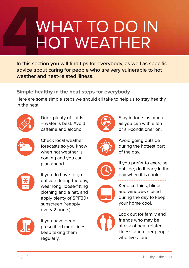# 4 WHAT TO DO IN HOT WEATHER

In this section you will find tips for everybody, as well as specific advice about caring for people who are very vulnerable to hot weather and heat-related illness.

**Simple healthy in the heat steps for everybody**

Here are some simple steps we should all take to help us to stay healthy in the heat:



Drink plenty of fluids – water is best. Avoid caffeine and alcohol.



Check local weather forecasts so you know when hot weather is coming and you can plan ahead.



If you do have to go outside during the day, wear long, loose-fitting clothing and a hat, and apply plenty of SPF30+ sunscreen (reapply every 2 hours).



If you have been prescribed medicines, keep taking them regularly.



Stay indoors as much as you can with a fan or air-conditioner on.



Avoid going outside during the hottest part of the day.



If you prefer to exercise outside, do it early in the day when it is cooler.



Keep curtains, blinds and windows closed during the day to keep your home cool.



Look out for family and friends who may be at risk of heat-related illness, and older people who live alone.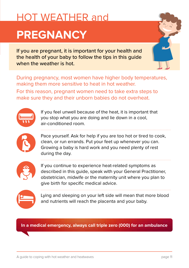# HOT WEATHER and **PREGNANCY**

If you are pregnant, it is important for your health and the health of your baby to follow the tips in this guide when the weather is hot.

During pregnancy, most women have higher body temperatures, making them more sensitive to heat in hot weather. For this reason, pregnant women need to take extra steps to make sure they and their unborn babies do not overheat.



If you feel unwell because of the heat, it is important that you stop what you are doing and lie down in a cool, air-conditioned room.



Pace yourself. Ask for help if you are too hot or tired to cook, clean, or run errands. Put your feet up whenever you can. Growing a baby is hard work and you need plenty of rest during the day.



If you continue to experience heat-related symptoms as described in this guide, speak with your General Practitioner, obstetrician, midwife or the maternity unit where you plan to give birth for specific medical advice.



Lying and sleeping on your left side will mean that more blood and nutrients will reach the placenta and your baby.

**In a medical emergency, always call triple zero (000) for an ambulance**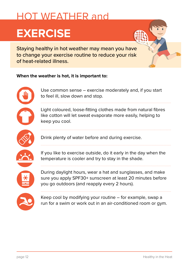# HOT WEATHER and

# **EXERCISE**

Staying healthy in hot weather may mean you have to change your exercise routine to reduce your risk of heat-related illness.

**When the weather is hot, it is important to:**



Use common sense – exercise moderately and, if you start to feel ill, slow down and stop.

Light coloured, loose-fitting clothes made from natural fibres like cotton will let sweat evaporate more easily, helping to keep you cool.

Drink plenty of water before and during exercise.



If you like to exercise outside, do it early in the day when the temperature is cooler and try to stay in the shade.



During daylight hours, wear a hat and sunglasses, and make sure you apply SPF30+ sunscreen at least 20 minutes before you go outdoors (and reapply every 2 hours).



Keep cool by modifying your routine – for example, swap a run for a swim or work out in an air-conditioned room or gym.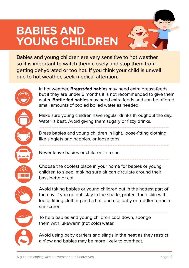# **BABIES AND YOUNG CHILDREN**





In hot weather, **Breast-fed babies** may need extra breast-feeds, but if they are under 6 months it is not recommended to give them water. **Bottle-fed babies** may need extra feeds and can be offered small amounts of cooled boiled water as needed.

Make sure young children have regular drinks throughout the day. Water is best. Avoid giving them sugary or fizzy drinks.

Dress babies and young children in light, loose-fitting clothing, like singlets and nappies, or loose tops.

Never leave babies or children in a car.

Choose the coolest place in your home for babies or young children to sleep, making sure air can circulate around their bassinette or cot.

Avoid taking babies or young children out in the hottest part of the day. If you go out, stay in the shade, protect their skin with loose-fitting clothing and a hat, and use baby or toddler formula sunscreen.

To help babies and young children cool down, sponge them with lukewarm (not cold) water.

Avoid using baby carriers and slings in the heat as they restrict airflow and babies may be more likely to overheat.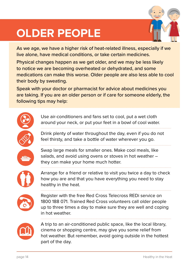# **OLDER PEOPLE**



As we age, we have a higher risk of heat-related illness, especially if we live alone, have medical conditions, or take certain medicines.

Physical changes happen as we get older, and we may be less likely to notice we are becoming overheated or dehydrated, and some medications can make this worse. Older people are also less able to cool their body by sweating.

Speak with your doctor or pharmacist for advice about medicines you are taking. If you are an older person or if care for someone elderly, the following tips may help:

> Use air-conditioners and fans set to cool, put a wet cloth around your neck, or put your feet in a bowl of cool water.

Drink plenty of water throughout the day, even if you do not feel thirsty, and take a bottle of water wherever you go.

Swap large meals for smaller ones. Make cool meals, like salads, and avoid using ovens or stoves in hot weather – they can make your home much hotter.



Arrange for a friend or relative to visit you twice a day to check how you are and that you have everything you need to stay healthy in the heat.



Register with the free Red Cross Telecross REDi service on 1800 188 071. Trained Red Cross volunteers call older people up to three times a day to make sure they are well and coping in hot weather.



A trip to an air-conditioned public space, like the local library, cinema or shopping centre, may give you some relief from hot weather. But remember, avoid going outside in the hottest part of the day.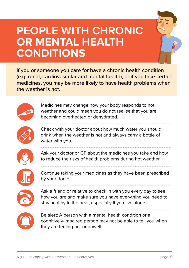# **PEOPLE WITH CHRONIC OR MENTAL HEALTH CONDITIONS**

If you or someone you care for have a chronic health condition (e.g. renal, cardiovascular and mental health), or if you take certain medicines, you may be more likely to have health problems when the weather is hot.



Medicines may change how your body responds to hot weather and could mean you do not realise that you are becoming overheated or dehydrated.



Check with your doctor about how much water you should drink when the weather is hot and always carry a bottle of water with you.



Ask your doctor or GP about the medicines you take and how to reduce the risks of health problems during hot weather.



Continue taking your medicines as they have been prescribed by your doctor.



Ask a friend or relative to check in with you every day to see how you are and make sure you have everything you need to stay healthy in the heat, especially if you live alone.



Be alert: A person with a mental health condition or a cognitively-impaired person may not be able to tell you when they are feeling hot or unwell.

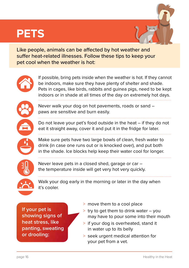# **PETS**



Like people, animals can be affected by hot weather and suffer heat-related illnesses. Follow these tips to keep your pet cool when the weather is hot:



If possible, bring pets inside when the weather is hot. If they cannot be indoors, make sure they have plenty of shelter and shade. Pets in cages, like birds, rabbits and guinea pigs, need to be kept indoors or in shade at all times of the day on extremely hot days.



Never walk your dog on hot pavements, roads or sand – paws are sensitive and burn easily.

Do not leave your pet's food outside in the heat – if they do not eat it straight away, cover it and put it in the fridge for later.

Make sure pets have two large bowls of clean, fresh water to drink (in case one runs out or is knocked over), and put both in the shade. Ice blocks help keep their water cool for longer.



Never leave pets in a closed shed, garage or car – the temperature inside will get very hot very quickly.

Walk your dog early in the morning or later in the day when it's cooler.

**If your pet is showing signs of heat stress, like panting, sweating or drooling:**

- > move them to a cool place
- $>$  try to get them to drink water you may have to pour some into their mouth
- > if your dog is overheated, stand it in water up to its belly
- > seek urgent medical attention for your pet from a vet.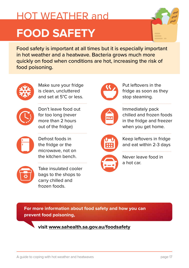# **FOOD SAFETY** HOT WEATHER and



Food safety is important at all times but it is especially important in hot weather and a heatwave. Bacteria grows much more quickly on food when conditions are hot, increasing the risk of food poisoning.



Make sure your fridge is clean, uncluttered and set at 5°C or less.



Don't leave food out for too long (never more than 2 hours out of the fridge)



fridge as soon as they stop steaming. Immediately pack

Put leftovers in the



in the fridge and freezer when you get home.

chilled and frozen foods





Never leave food in a hot car.

**For more information about food safety and how you can prevent food poisoning,** 

**visit [www.sahealth.sa.gov.au/foodsafety](http://www.sahealth.sa.gov.au/foodsafety)**



the kitchen bench.



Take insulated cooler bags to the shops to carry chilled and frozen foods.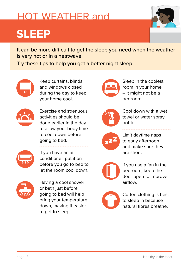# HOT WEATHER and

# **SLEEP**

It can be more difficult to get the sleep you need when the weather is very hot or in a heatwave.

Try these tips to help you get a better night sleep:



Keep curtains, blinds and windows closed during the day to keep your home cool.



Exercise and strenuous activities should be done earlier in the day to allow your body time to cool down before going to bed.



If you have an air conditioner, put it on before you go to bed to let the room cool down.



Having a cool shower or bath just before going to bed will help bring your temperature down, making it easier to get to sleep.



Sleep in the coolest room in your home – it might not be a bedroom.



Cool down with a wet towel or water spray bottle.



Limit daytime naps to early afternoon and make sure they are short.



If you use a fan in the bedroom, keep the door open to improve airflow.



Cotton clothing is best to sleep in because natural fibres breathe.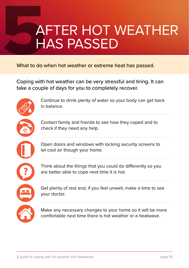# What to do v AFTER HOT WEATHER HAS PASSED

What to do when hot weather or extreme heat has passed.

Coping with hot weather can be very stressful and tiring. It can take a couple of days for you to completely recover.



Contact family and friends to see how they coped and to check if they need any help.

Open doors and windows with locking security screens to let cool air though your home.

Think about the things that you could do differently so you are better able to cope next time it is hot.

Get plenty of rest and, if you feel unwell, make a time to see your doctor.

Make any necessary changes to your home so it will be more comfortable next time there is hot weather or a heatwave.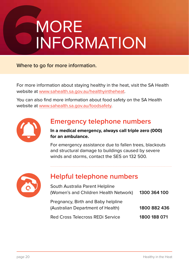# Where to go **MORE** INFORMATION

Where to go for more information.

For more information about staying healthy in the heat, visit the SA Health website at [www.sahealth.sa.gov.au/healthyintheheat](http://www.sahealth.sa.gov.au/healthyintheheat).

You can also find more information about food safety on the SA Health website at [www.sahealth.sa.gov.au/foodsafety](http://www.sahealth.sa.gov.au/foodsafety).



### **Emergency telephone numbers**

**In a medical emergency, always call triple zero (000) for an ambulance.**

For emergency assistance due to fallen trees, blackouts and structural damage to buildings caused by severe winds and storms, contact the SES on 132 500.



## **Helpful telephone numbers**

| South Australia Parent Helpline<br>(Women's and Children Health Network) | 1300 364 100 |
|--------------------------------------------------------------------------|--------------|
| Pregnancy, Birth and Baby helpline<br>(Australian Department of Health)  | 1800 882 436 |
| Red Cross Telecross REDi Service                                         | 1800 188 071 |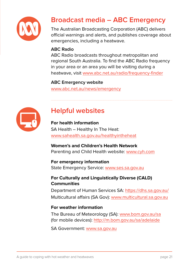

## **Broadcast media – ABC Emergency**

The Australian Broadcasting Corporation (ABC) delivers official warnings and alerts, and publishes coverage about emergencies, including a heatwave.

### **ABC Radio**

ABC Radio broadcasts throughout metropolitan and regional South Australia. To find the ABC Radio frequency in your area or an area you will be visiting during a heatwave, visit [www.abc.net.au/radio/frequency-finder](http://www.abc.net.au/radio/frequency-finder)

**ABC Emergency website**  [www.abc.net.au/news/emergency](http://www.abc.net.au/news/emergency)



# **Helpful websites**

**For health information** SA Health – Healthy In The Heat: [www.sahealth.sa.gov.au/healthyintheheat](http://www.sahealth.sa.gov.au/healthyintheheat)

**Women's and Children's Health Network** Parenting and Child Health website: [www.cyh.com](http://www.cyh.com)

#### **For emergency information** State Emergency Service: [www.ses.sa.gov.au](http://www.ses.sa.gov.au)

### **For Culturally and Linguistically Diverse (CALD) Communities**

Department of Human Services SA:<https://dhs.sa.gov.au/> Multicultural affairs (SA Gov): [www.multicultural.sa.gov.au](http://www.multicultural.sa.gov.au)

### **For weather information**

The Bureau of Meteorology (SA): [www.bom.gov.au/sa](http://www.bom.gov.au/sa) (for mobile devices):<http://m.bom.gov.au/sa/adelaide>

SA Government: [www.sa.gov.au](http://www.sa.gov.au)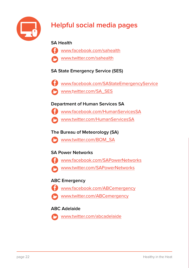

# **Helpful social media pages**

### **SA Health**

- **f** [www.facebook.com/sahealth](http://www.facebook.com/sahealth)
	- [www.twitter.com/sahealth](http://www.twitter.com/sahealth)

### **SA State Emergency Service (SES)**



[www.twitter.com/SA\\_SES](http://www.twitter.com/SA_SES)

### **Department of Human Services SA**

63 [www.facebook.com/HumanServicesSA](http://www.facebook.com/HumanServicesSA)

[www.twitter.com/HumanServicesSA](http://www.twitter.com/HumanServicesSA)

### **The Bureau of Meteorology (SA)**

[www.twitter.com/BOM\\_SA](http://www.twitter.com/BOM_SA)

**SA Power Networks**

- [www.facebook.com/SAPowerNetworks](http://www.facebook.com/SAPowerNetworks)
	- [www.twitter.com/SAPowerNetworks](http://www.twitter.com/SAPowerNetworks)

#### **ABC Emergency**

- [www.facebook.com/ABCemergency](http://www.facebook.com/ABCemergency)
- [www.twitter.com/ABCemergency](http://www.twitter.com/ABCemergency)

#### **ABC Adelaide**

[www.twitter.com/abcadelaide](http://www.twitter.com/abcadelaide)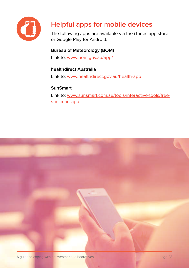

## **Helpful apps for mobile devices**

The following apps are available via the iTunes app store or Google Play for Android:

**Bureau of Meteorology (BOM)**  Link to: [www.bom.gov.au/app/](http://www.bom.gov.au/app/)

**healthdirect Australia** Link to: [www.healthdirect.gov.au/health-app](https://www.healthdirect.gov.au/health-app)

**SunSmart**  Link to: [www.sunsmart.com.au/tools/interactive-tools/free](http://www.sunsmart.com.au/tools/interactive-tools/free-sunsmart-app)[sunsmart-app](http://www.sunsmart.com.au/tools/interactive-tools/free-sunsmart-app)

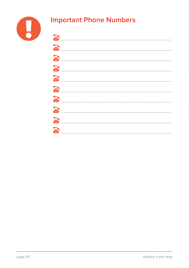

## **Important Phone Numbers**

| ි<br>8                                                                                                                                                                                                                                    |
|-------------------------------------------------------------------------------------------------------------------------------------------------------------------------------------------------------------------------------------------|
|                                                                                                                                                                                                                                           |
| 8                                                                                                                                                                                                                                         |
|                                                                                                                                                                                                                                           |
|                                                                                                                                                                                                                                           |
| <b>a</b> <u>de la communicación de la compa</u> ctiva de la compactiva de la compactiva de la compactiva de la compactiva de la compactiva de la compactiva de la compactiva de la compactiva de la compactiva de la compactiva de la com |
| 8                                                                                                                                                                                                                                         |
|                                                                                                                                                                                                                                           |
|                                                                                                                                                                                                                                           |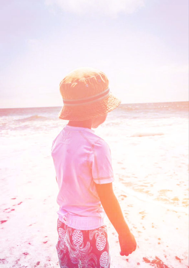